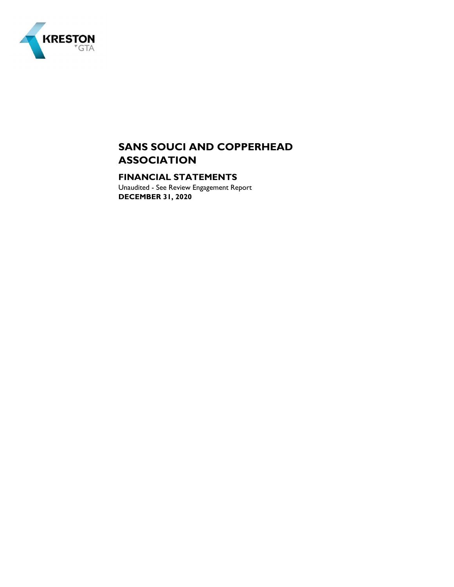

## **FINANCIAL STATEMENTS**

Unaudited - See Review Engagement Report **DECEMBER 31, 2020**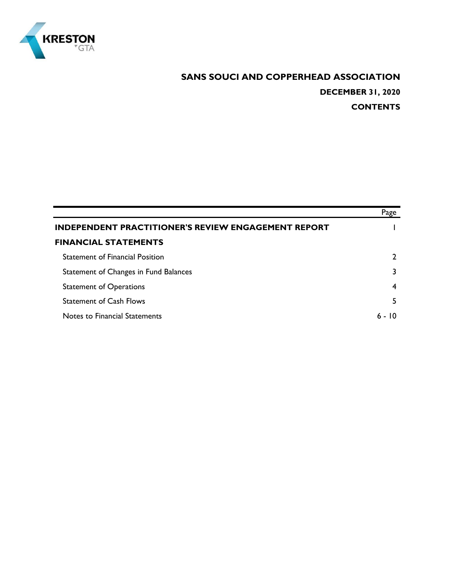

# **SANS SOUCI AND COPPERHEAD ASSOCIATION DECEMBER 31, 2020 CONTENTS**

|                                                            | Page |
|------------------------------------------------------------|------|
| <b>INDEPENDENT PRACTITIONER'S REVIEW ENGAGEMENT REPORT</b> |      |
| <b>FINANCIAL STATEMENTS</b>                                |      |
| <b>Statement of Financial Position</b>                     |      |
| Statement of Changes in Fund Balances                      |      |
| <b>Statement of Operations</b>                             | 4    |
| <b>Statement of Cash Flows</b>                             | 5    |
| Notes to Financial Statements                              | חו   |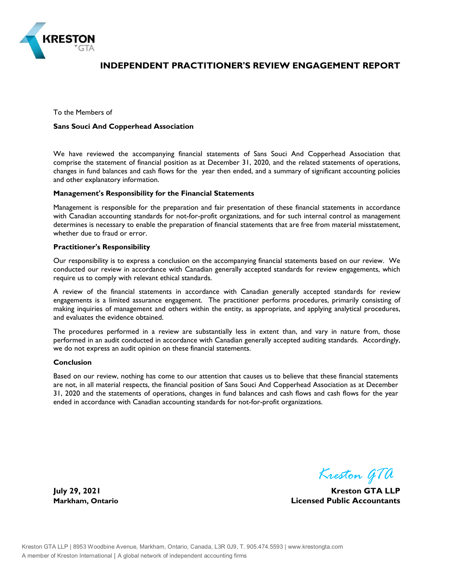

## **INDEPENDENT PRACTITIONER'S REVIEW ENGAGEMENT REPORT**

To the Members of

#### **Sans Souci And Copperhead Association**

We have reviewed the accompanying financial statements of Sans Souci And Copperhead Association that comprise the statement of financial position as at December 31, 2020, and the related statements of operations, changes in fund balances and cash flows for the year then ended, and a summary of significant accounting policies and other explanatory information.

#### **Management's Responsibility for the Financial Statements**

Management is responsible for the preparation and fair presentation of these financial statements in accordance with Canadian accounting standards for not-for-profit organizations, and for such internal control as management determines is necessary to enable the preparation of financial statements that are free from material misstatement, whether due to fraud or error.

#### **Practitioner's Responsibility**

Our responsibility is to express a conclusion on the accompanying financial statements based on our review. We conducted our review in accordance with Canadian generally accepted standards for review engagements, which require us to comply with relevant ethical standards.

A review of the financial statements in accordance with Canadian generally accepted standards for review engagements is a limited assurance engagement. The practitioner performs procedures, primarily consisting of making inquiries of management and others within the entity, as appropriate, and applying analytical procedures, and evaluates the evidence obtained.

The procedures performed in a review are substantially less in extent than, and vary in nature from, those performed in an audit conducted in accordance with Canadian generally accepted auditing standards. Accordingly, we do not express an audit opinion on these financial statements.

#### **Conclusion**

Based on our review, nothing has come to our attention that causes us to believe that these financial statements are not, in all material respects, the financial position of Sans Souci And Copperhead Association as at December 31, 2020 and the statements of operations, changes in fund balances and cash flows and cash flows for the year ended in accordance with Canadian accounting standards for not-for-profit organizations.

*Kreston GTA*

**July 29, 2021 Kreston GTA LLP Markham, Ontario Licensed Public Accountants**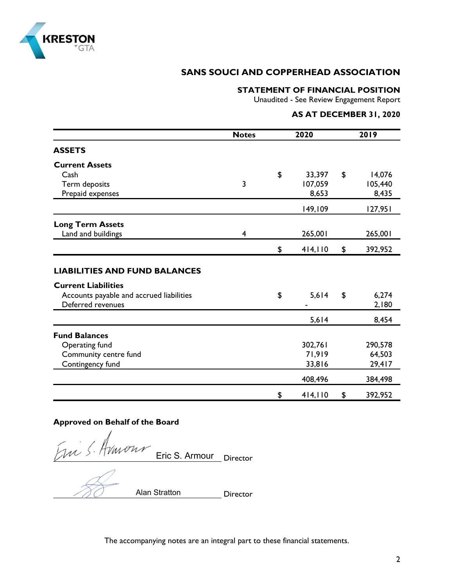

## **STATEMENT OF FINANCIAL POSITION**

Unaudited - See Review Engagement Report

## **AS AT DECEMBER 31, 2020**

|                                                                    | 2020<br><b>Notes</b> |    | 2019    |    |         |
|--------------------------------------------------------------------|----------------------|----|---------|----|---------|
| <b>ASSETS</b>                                                      |                      |    |         |    |         |
| <b>Current Assets</b>                                              |                      |    |         |    |         |
| Cash                                                               |                      | \$ | 33,397  | \$ | 14,076  |
| Term deposits                                                      | 3                    |    | 107,059 |    | 105,440 |
| Prepaid expenses                                                   |                      |    | 8,653   |    | 8,435   |
|                                                                    |                      |    | 149,109 |    | 127,951 |
| <b>Long Term Assets</b>                                            |                      |    |         |    |         |
| Land and buildings                                                 | 4                    |    | 265,001 |    | 265,001 |
|                                                                    |                      | \$ | 414,110 | \$ | 392,952 |
| <b>LIABILITIES AND FUND BALANCES</b><br><b>Current Liabilities</b> |                      |    |         |    |         |
| Accounts payable and accrued liabilities                           |                      | \$ | 5,614   | \$ | 6,274   |
| Deferred revenues                                                  |                      |    |         |    | 2,180   |
|                                                                    |                      |    | 5,614   |    | 8,454   |
| <b>Fund Balances</b>                                               |                      |    |         |    |         |
| Operating fund                                                     |                      |    | 302,761 |    | 290,578 |
| Community centre fund                                              |                      |    | 71,919  |    | 64,503  |
| Contingency fund                                                   |                      |    | 33,816  |    | 29,417  |
|                                                                    |                      |    | 408,496 |    | 384,498 |
|                                                                    |                      | \$ | 414,110 | \$ | 392,952 |

## **Approved on Behalf of the Board**

Em S. Huwons Eric S. Armour Director

Director Alan Stratton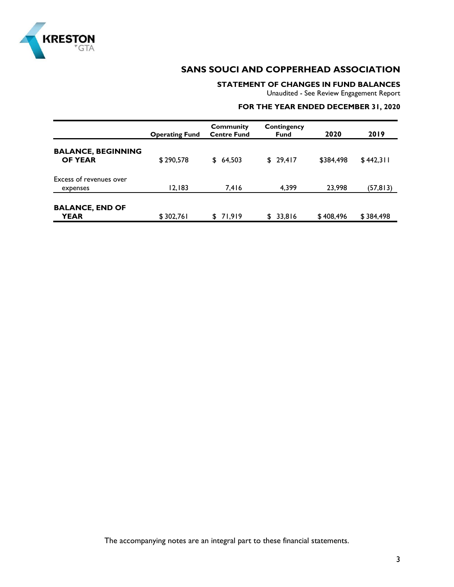

### **STATEMENT OF CHANGES IN FUND BALANCES**

Unaudited - See Review Engagement Report

### **FOR THE YEAR ENDED DECEMBER 31, 2020**

|                                             | <b>Operating Fund</b> | <b>Community</b><br><b>Centre Fund</b> | Contingency<br><b>Fund</b> | 2020      | 2019      |
|---------------------------------------------|-----------------------|----------------------------------------|----------------------------|-----------|-----------|
| <b>BALANCE, BEGINNING</b><br><b>OF YEAR</b> | \$290,578             | \$64,503                               | \$29,417                   | \$384,498 | \$442,311 |
| Excess of revenues over<br>expenses         | 12,183                | 7,416                                  | 4.399                      | 23,998    | (57, 813) |
| <b>BALANCE, END OF</b><br><b>YEAR</b>       | \$302,761             | \$71,919                               | 33,816<br>S.               | \$408,496 | \$384,498 |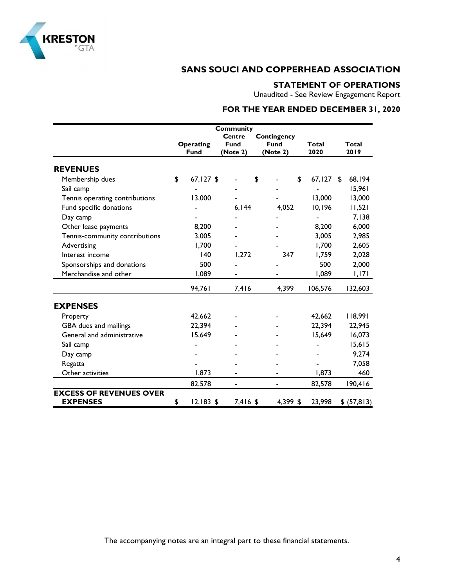

## **STATEMENT OF OPERATIONS**

Unaudited - See Review Engagement Report

# **FOR THE YEAR ENDED DECEMBER 31, 2020**

|                                |                   | <b>Community</b> |             |              |         |              |
|--------------------------------|-------------------|------------------|-------------|--------------|---------|--------------|
|                                |                   | <b>Centre</b>    | Contingency |              |         |              |
|                                | Operating         | <b>Fund</b>      | <b>Fund</b> | <b>Total</b> |         | <b>Total</b> |
|                                | <b>Fund</b>       | (Note 2)         | (Note 2)    | 2020         |         | 2019         |
| <b>REVENUES</b>                |                   |                  |             |              |         |              |
| Membership dues                | \$<br>$67,127$ \$ |                  | \$          | \$           | 67, 127 | \$<br>68,194 |
| Sail camp                      |                   |                  |             |              |         | 15,961       |
| Tennis operating contributions | 13,000            |                  |             |              | 13,000  | 13,000       |
| Fund specific donations        |                   | 6,144            | 4,052       |              | 10,196  | 11,521       |
| Day camp                       |                   |                  |             |              |         | 7,138        |
| Other lease payments           | 8,200             |                  |             |              | 8,200   | 6,000        |
| Tennis-community contributions | 3,005             |                  |             |              | 3,005   | 2,985        |
| Advertising                    | 1,700             |                  |             |              | 1,700   | 2,605        |
| Interest income                | 140               | 1,272            | 347         |              | 1,759   | 2,028        |
| Sponsorships and donations     | 500               |                  |             |              | 500     | 2,000        |
| Merchandise and other          | 1,089             |                  |             |              | 1,089   | 1,171        |
|                                | 94,761            | 7,416            | 4,399       |              | 106,576 | 132,603      |
| <b>EXPENSES</b>                |                   |                  |             |              |         |              |
| Property                       | 42,662            |                  |             |              | 42,662  | 118,991      |
| GBA dues and mailings          | 22,394            |                  |             |              | 22,394  | 22,945       |
| General and administrative     | 15,649            |                  |             |              | 15,649  | 16,073       |
| Sail camp                      |                   |                  |             |              |         | 15,615       |
| Day camp                       |                   |                  |             |              |         | 9,274        |
| Regatta                        |                   |                  |             |              |         | 7,058        |
| Other activities               | 1,873             |                  |             |              | 1,873   | 460          |
|                                | 82,578            |                  |             |              | 82,578  | 190,416      |
| <b>EXCESS OF REVENUES OVER</b> |                   |                  |             |              |         |              |
| <b>EXPENSES</b>                | \$<br>$12,183$ \$ | 7,416 \$         | 4,399 \$    |              | 23,998  | \$ (57, 813) |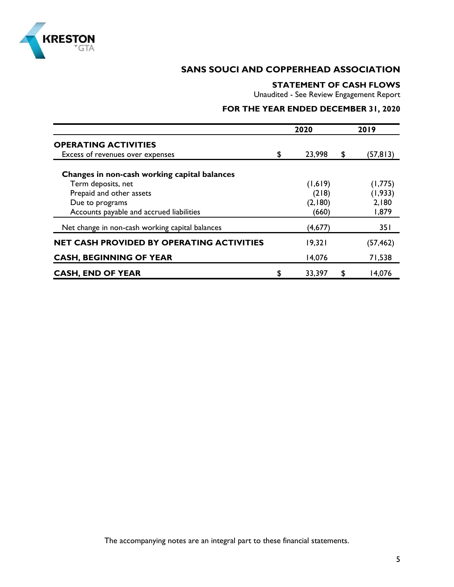

### **STATEMENT OF CASH FLOWS**

Unaudited - See Review Engagement Report

# **FOR THE YEAR ENDED DECEMBER 31, 2020**

|                                                 | 2020 |         |    | 2019      |
|-------------------------------------------------|------|---------|----|-----------|
| <b>OPERATING ACTIVITIES</b>                     |      |         |    |           |
| Excess of revenues over expenses                | \$   | 23,998  | \$ | (57, 813) |
| Changes in non-cash working capital balances    |      |         |    |           |
| Term deposits, net                              |      | (1,619) |    | (1,775)   |
| Prepaid and other assets                        |      | (218)   |    | (1, 933)  |
| Due to programs                                 |      | (2,180) |    | 2,180     |
| Accounts payable and accrued liabilities        |      | (660)   |    | 1,879     |
| Net change in non-cash working capital balances |      | (4,677) |    | 351       |
| NET CASH PROVIDED BY OPERATING ACTIVITIES       |      | 19,321  |    | (57,462)  |
| <b>CASH, BEGINNING OF YEAR</b>                  |      | 14,076  |    | 71,538    |
| <b>CASH, END OF YEAR</b>                        | \$   | 33,397  | \$ | 14,076    |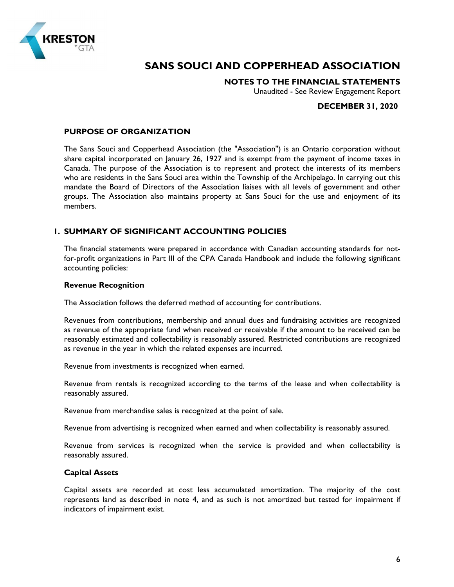

**NOTES TO THE FINANCIAL STATEMENTS**

Unaudited - See Review Engagement Report

### **DECEMBER 31, 2020**

#### **PURPOSE OF ORGANIZATION**

The Sans Souci and Copperhead Association (the "Association") is an Ontario corporation without share capital incorporated on January 26, 1927 and is exempt from the payment of income taxes in Canada. The purpose of the Association is to represent and protect the interests of its members who are residents in the Sans Souci area within the Township of the Archipelago. In carrying out this mandate the Board of Directors of the Association liaises with all levels of government and other groups. The Association also maintains property at Sans Souci for the use and enjoyment of its members.

#### **1. SUMMARY OF SIGNIFICANT ACCOUNTING POLICIES**

The financial statements were prepared in accordance with Canadian accounting standards for notfor-profit organizations in Part III of the CPA Canada Handbook and include the following significant accounting policies:

#### **Revenue Recognition**

The Association follows the deferred method of accounting for contributions.

Revenues from contributions, membership and annual dues and fundraising activities are recognized as revenue of the appropriate fund when received or receivable if the amount to be received can be reasonably estimated and collectability is reasonably assured. Restricted contributions are recognized as revenue in the year in which the related expenses are incurred.

Revenue from investments is recognized when earned.

Revenue from rentals is recognized according to the terms of the lease and when collectability is reasonably assured.

Revenue from merchandise sales is recognized at the point of sale.

Revenue from advertising is recognized when earned and when collectability is reasonably assured.

Revenue from services is recognized when the service is provided and when collectability is reasonably assured.

#### **Capital Assets**

Capital assets are recorded at cost less accumulated amortization. The majority of the cost represents land as described in note 4, and as such is not amortized but tested for impairment if indicators of impairment exist.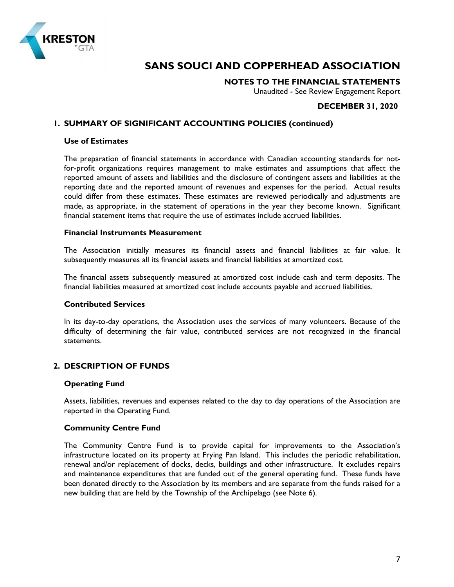

**NOTES TO THE FINANCIAL STATEMENTS**

Unaudited - See Review Engagement Report

### **DECEMBER 31, 2020**

#### **1. SUMMARY OF SIGNIFICANT ACCOUNTING POLICIES (continued)**

#### **Use of Estimates**

The preparation of financial statements in accordance with Canadian accounting standards for notfor-profit organizations requires management to make estimates and assumptions that affect the reported amount of assets and liabilities and the disclosure of contingent assets and liabilities at the reporting date and the reported amount of revenues and expenses for the period. Actual results could differ from these estimates. These estimates are reviewed periodically and adjustments are made, as appropriate, in the statement of operations in the year they become known. Significant financial statement items that require the use of estimates include accrued liabilities.

#### **Financial Instruments Measurement**

The Association initially measures its financial assets and financial liabilities at fair value. It subsequently measures all its financial assets and financial liabilities at amortized cost.

The financial assets subsequently measured at amortized cost include cash and term deposits. The financial liabilities measured at amortized cost include accounts payable and accrued liabilities.

#### **Contributed Services**

In its day-to-day operations, the Association uses the services of many volunteers. Because of the difficulty of determining the fair value, contributed services are not recognized in the financial statements.

#### **2. DESCRIPTION OF FUNDS**

#### **Operating Fund**

Assets, liabilities, revenues and expenses related to the day to day operations of the Association are reported in the Operating Fund.

#### **Community Centre Fund**

The Community Centre Fund is to provide capital for improvements to the Association's infrastructure located on its property at Frying Pan Island. This includes the periodic rehabilitation, renewal and/or replacement of docks, decks, buildings and other infrastructure. It excludes repairs and maintenance expenditures that are funded out of the general operating fund. These funds have been donated directly to the Association by its members and are separate from the funds raised for a new building that are held by the Township of the Archipelago (see Note 6).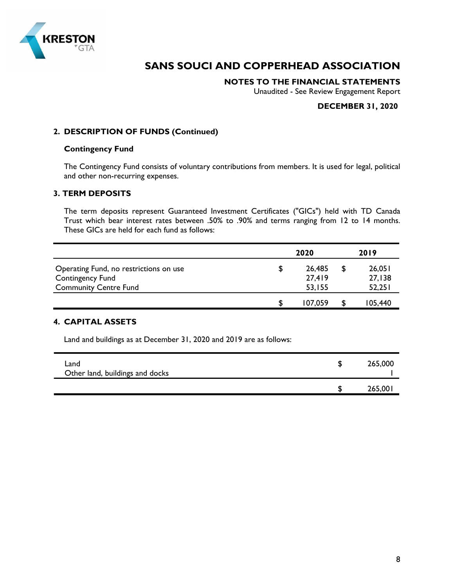

**NOTES TO THE FINANCIAL STATEMENTS**

Unaudited - See Review Engagement Report

### **DECEMBER 31, 2020**

### **2. DESCRIPTION OF FUNDS (Continued)**

#### **Contingency Fund**

The Contingency Fund consists of voluntary contributions from members. It is used for legal, political and other non-recurring expenses.

## **3. TERM DEPOSITS**

The term deposits represent Guaranteed Investment Certificates ("GICs") held with TD Canada Trust which bear interest rates between .50% to .90% and terms ranging from 12 to 14 months. These GICs are held for each fund as follows:

|                                        | 2020 |         |  | 2019    |  |  |
|----------------------------------------|------|---------|--|---------|--|--|
| Operating Fund, no restrictions on use | æ.   | 26,485  |  | 26,051  |  |  |
| <b>Contingency Fund</b>                |      | 27,419  |  | 27,138  |  |  |
| <b>Community Centre Fund</b>           |      | 53,155  |  | 52,251  |  |  |
|                                        |      | 107.059 |  | 105,440 |  |  |

### **4. CAPITAL ASSETS**

Land and buildings as at December 31, 2020 and 2019 are as follows:

| Land<br>Other land, buildings and docks | 265,000 |
|-----------------------------------------|---------|
|                                         | 265,001 |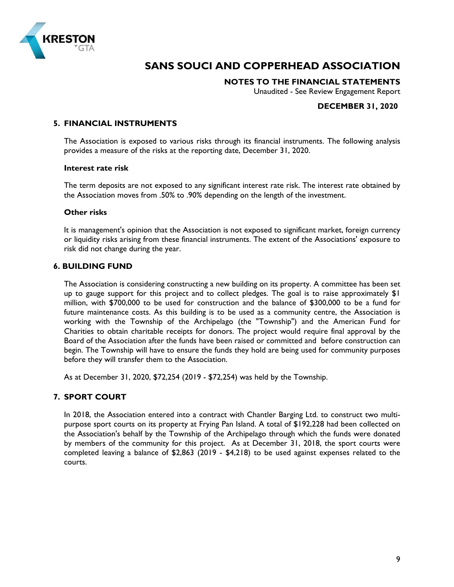

**NOTES TO THE FINANCIAL STATEMENTS**

Unaudited - See Review Engagement Report

### **DECEMBER 31, 2020**

#### **5. FINANCIAL INSTRUMENTS**

The Association is exposed to various risks through its financial instruments. The following analysis provides a measure of the risks at the reporting date, December 31, 2020.

#### **Interest rate risk**

The term deposits are not exposed to any significant interest rate risk. The interest rate obtained by the Association moves from .50% to .90% depending on the length of the investment.

#### **Other risks**

It is management's opinion that the Association is not exposed to significant market, foreign currency or liquidity risks arising from these financial instruments. The extent of the Associations' exposure to risk did not change during the year.

#### **6. BUILDING FUND**

The Association is considering constructing a new building on its property. A committee has been set up to gauge support for this project and to collect pledges. The goal is to raise approximately \$1 million, with \$700,000 to be used for construction and the balance of \$300,000 to be a fund for future maintenance costs. As this building is to be used as a community centre, the Association is working with the Township of the Archipelago (the "Township") and the American Fund for Charities to obtain charitable receipts for donors. The project would require final approval by the Board of the Association after the funds have been raised or committed and before construction can begin. The Township will have to ensure the funds they hold are being used for community purposes before they will transfer them to the Association.

As at December 31, 2020, \$72,254 (2019 - \$72,254) was held by the Township.

#### **7. SPORT COURT**

In 2018, the Association entered into a contract with Chantler Barging Ltd. to construct two multipurpose sport courts on its property at Frying Pan Island. A total of \$192,228 had been collected on the Association's behalf by the Township of the Archipelago through which the funds were donated by members of the community for this project. As at December 31, 2018, the sport courts were completed leaving a balance of \$2,863 (2019 - \$4,218) to be used against expenses related to the courts.